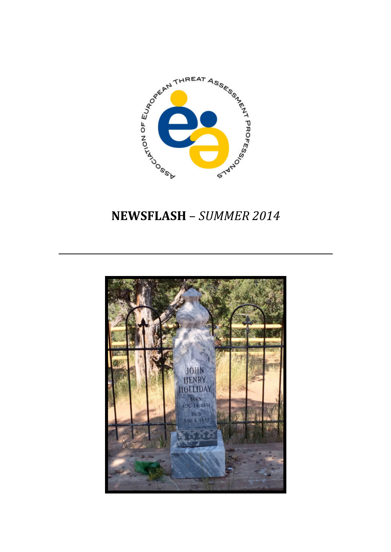

# NEWSFLASH – SUMMER 2014

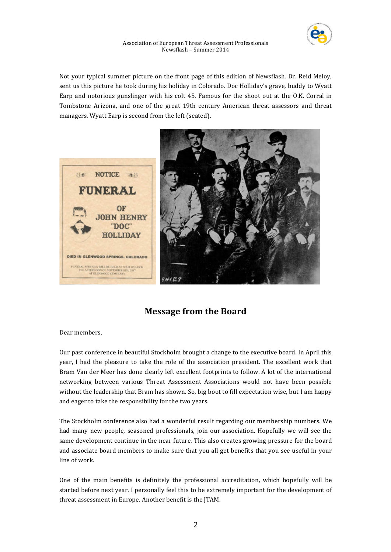

Not your typical summer picture on the front page of this edition of Newsflash. Dr. Reid Meloy, sent us this picture he took during his holiday in Colorado. Doc Holliday's grave, buddy to Wyatt Earp and notorious gunslinger with his colt 45. Famous for the shoot out at the O.K. Corral in Tombstone Arizona, and one of the great 19th century American threat assessors and threat managers. Wyatt Earp is second from the left (seated).



# **Message from the Board**

Dear members,

Our past conference in beautiful Stockholm brought a change to the executive board. In April this year, I had the pleasure to take the role of the association president. The excellent work that Bram Van der Meer has done clearly left excellent footprints to follow. A lot of the international networking between various Threat Assessment Associations would not have been possible without the leadership that Bram has shown. So, big boot to fill expectation wise, but I am happy and eager to take the responsibility for the two years.

The Stockholm conference also had a wonderful result regarding our membership numbers. We had many new people, seasoned professionals, join our association. Hopefully we will see the same development continue in the near future. This also creates growing pressure for the board and associate board members to make sure that you all get benefits that you see useful in your line of work.

One of the main benefits is definitely the professional accreditation, which hopefully will be started before next year. I personally feel this to be extremely important for the development of threat assessment in Europe. Another benefit is the JTAM.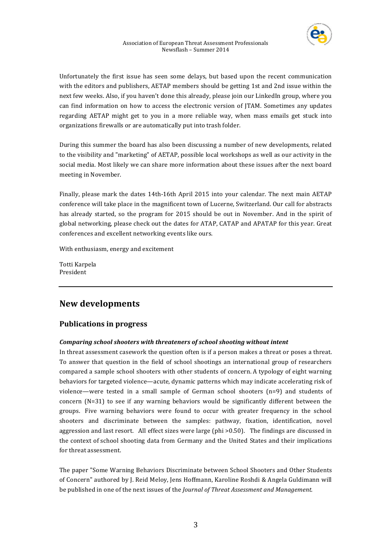Unfortunately the first issue has seen some delays, but based upon the recent communication with the editors and publishers, AETAP members should be getting 1st and 2nd issue within the next few weeks. Also, if you haven't done this already, please join our LinkedIn group, where you can find information on how to access the electronic version of JTAM. Sometimes any updates regarding AETAP might get to you in a more reliable way, when mass emails get stuck into organizations firewalls or are automatically put into trash folder.

During this summer the board has also been discussing a number of new developments, related to the visibility and "marketing" of AETAP, possible local workshops as well as our activity in the social media. Most likely we can share more information about these issues after the next board meeting in November.

Finally, please mark the dates 14th-16th April 2015 into your calendar. The next main AETAP conference will take place in the magnificent town of Lucerne, Switzerland. Our call for abstracts has already started, so the program for 2015 should be out in November. And in the spirit of global networking, please check out the dates for ATAP, CATAP and APATAP for this year. Great conferences and excellent networking events like ours.

With enthusiasm, energy and excitement

Totti Karpela President

# **New 
 developments**

# **Publications in progress**

# *Comparing school shooters with threateners of school shooting without intent*

In threat assessment casework the question often is if a person makes a threat or poses a threat. To answer that question in the field of school shootings an international group of researchers compared a sample school shooters with other students of concern. A typology of eight warning behaviors for targeted violence—acute, dynamic patterns which may indicate accelerating risk of violence—were tested in a small sample of German school shooters  $(n=9)$  and students of concern  $(N=31)$  to see if any warning behaviors would be significantly different between the groups. Five warning behaviors were found to occur with greater frequency in the school shooters and discriminate between the samples: pathway, fixation, identification, novel aggression and last resort. All effect sizes were large (phi  $>0.50$ ). The findings are discussed in the context of school shooting data from Germany and the United States and their implications for threat assessment.

The paper "Some Warning Behaviors Discriminate between School Shooters and Other Students of Concern" authored by J. Reid Meloy, Jens Hoffmann, Karoline Roshdi & Angela Guldimann will be published in one of the next issues of the *Journal of Threat Assessment and Management.*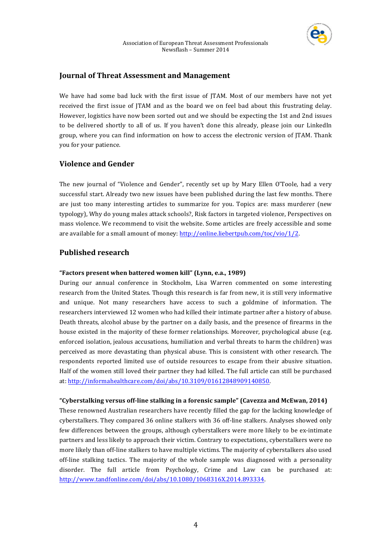

# **Journal of Threat Assessment and Management**

We have had some bad luck with the first issue of JTAM. Most of our members have not yet received the first issue of JTAM and as the board we on feel bad about this frustrating delay. However, logistics have now been sorted out and we should be expecting the 1st and 2nd issues to be delivered shortly to all of us. If you haven't done this already, please join our LinkedIn group, where you can find information on how to access the electronic version of JTAM. Thank you for your patience.

# **Violence and Gender**

The new journal of "Violence and Gender", recently set up by Mary Ellen O'Toole, had a very successful start. Already two new issues have been published during the last few months. There are just too many interesting articles to summarize for you. Topics are: mass murderer (new typology), Why do young males attack schools?, Risk factors in targeted violence, Perspectives on mass violence. We recommend to visit the website. Some articles are freely accessible and some are available for a small amount of money:  $\frac{http://online.liebertpub.com/toc/vio/1/2.}{}$ 

# **Published research**

### "Factors present when battered women kill" (Lynn, e.a., 1989)

During our annual conference in Stockholm, Lisa Warren commented on some interesting research from the United States. Though this research is far from new, it is still very informative and unique. Not many researchers have access to such a goldmine of information. The researchers interviewed 12 women who had killed their intimate partner after a history of abuse. Death threats, alcohol abuse by the partner on a daily basis, and the presence of firearms in the house existed in the majority of these former relationships. Moreover, psychological abuse (e.g. enforced isolation, jealous accusations, humiliation and verbal threats to harm the children) was perceived as more devastating than physical abuse. This is consistent with other research. The respondents reported limited use of outside resources to escape from their abusive situation. Half of the women still loved their partner they had killed. The full article can still be purchased at: http://informahealthcare.com/doi/abs/10.3109/01612848909140850.

# "Cyberstalking versus off-line stalking in a forensic sample" (Cavezza and McEwan, 2014)

These renowned Australian researchers have recently filled the gap for the lacking knowledge of cyberstalkers. They compared 36 online stalkers with 36 off-line stalkers. Analyses showed only few differences between the groups, although cyberstalkers were more likely to be ex-intimate partners and less likely to approach their victim. Contrary to expectations, cyberstalkers were no more likely than off-line stalkers to have multiple victims. The majority of cyberstalkers also used off-line stalking tactics. The majority of the whole sample was diagnosed with a personality disorder. The full article from Psychology, Crime and Law can be purchased at: http://www.tandfonline.com/doi/abs/10.1080/1068316X.2014.893334.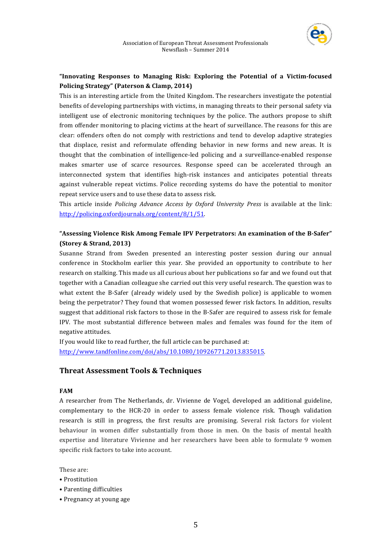

# "Innovating Responses to Managing Risk: Exploring the Potential of a Victim-focused **Policing Strategy"** (Paterson & Clamp, 2014)

This is an interesting article from the United Kingdom. The researchers investigate the potential benefits of developing partnerships with victims, in managing threats to their personal safety via intelligent use of electronic monitoring techniques by the police. The authors propose to shift from offender monitoring to placing victims at the heart of surveillance. The reasons for this are clear: offenders often do not comply with restrictions and tend to develop adaptive strategies that displace, resist and reformulate offending behavior in new forms and new areas. It is thought that the combination of intelligence-led policing and a surveillance-enabled response makes smarter use of scarce resources. Response speed can be accelerated through an interconnected system that identifies high-risk instances and anticipates potential threats against vulnerable repeat victims. Police recording systems do have the potential to monitor repeat service users and to use these data to assess risk.

This article inside Policing Advance Access by Oxford University Press is available at the link: http://policing.oxfordjournals.org/content/8/1/51. 

# "Assessing Violence Risk Among Female IPV Perpetrators: An examination of the B-Safer" **(Storey & Strand, 2013)**

Susanne Strand from Sweden presented an interesting poster session during our annual conference in Stockholm earlier this year. She provided an opportunity to contribute to her research on stalking. This made us all curious about her publications so far and we found out that together with a Canadian colleague she carried out this very useful research. The question was to what extent the B-Safer (already widely used by the Swedish police) is applicable to women being the perpetrator? They found that women possessed fewer risk factors. In addition, results suggest that additional risk factors to those in the B-Safer are required to assess risk for female IPV. The most substantial difference between males and females was found for the item of negative attitudes.

If you would like to read further, the full article can be purchased at: http://www.tandfonline.com/doi/abs/10.1080/10926771.2013.835015. 

# **Threat Assessment Tools & Techniques**

# **FAM**

A researcher from The Netherlands, dr. Vivienne de Vogel, developed an additional guideline, complementary to the HCR-20 in order to assess female violence risk. Though validation research is still in progress, the first results are promising. Several risk factors for violent behaviour in women differ substantially from those in men. On the basis of mental health expertise and literature Vivienne and her researchers have been able to formulate 9 women specific risk factors to take into account.

These are:

- Prostitution
- Parenting difficulties
- Pregnancy at young age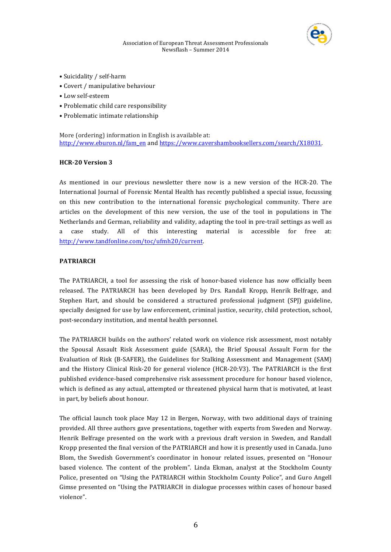

#### Association of European Threat Assessment Professionals Newsflash - Summer 2014

- Suicidality / self-harm
- Covert / manipulative behaviour
- Low self-esteem
- Problematic child care responsibility
- Problematic intimate relationship

More (ordering) information in English is available at: http://www.eburon.nl/fam\_en and https://www.cavershambooksellers.com/search/X18031.

### **HCR-20 Version 3**

As mentioned in our previous newsletter there now is a new version of the HCR-20. The International Journal of Forensic Mental Health has recently published a special issue, focussing on this new contribution to the international forensic psychological community. There are articles on the development of this new version, the use of the tool in populations in The Netherlands and German, reliability and validity, adapting the tool in pre-trail settings as well as a case study. All of this interesting material is accessible for free at: http://www.tandfonline.com/toc/ufmh20/current. 

### **PATRIARCH**

The PATRIARCH, a tool for assessing the risk of honor-based violence has now officially been released. The PATRIARCH has been developed by Drs. Randall Kropp, Henrik Belfrage, and Stephen Hart, and should be considered a structured professional judgment (SPJ) guideline, specially designed for use by law enforcement, criminal justice, security, child protection, school, post-secondary institution, and mental health personnel.

The PATRIARCH builds on the authors' related work on violence risk assessment, most notably the Spousal Assault Risk Assessment guide (SARA), the Brief Spousal Assault Form for the Evaluation of Risk (B-SAFER), the Guidelines for Stalking Assessment and Management (SAM) and the History Clinical Risk-20 for general violence (HCR-20:V3). The PATRIARCH is the first published evidence-based comprehensive risk assessment procedure for honour based violence, which is defined as any actual, attempted or threatened physical harm that is motivated, at least in part, by beliefs about honour.

The official launch took place May 12 in Bergen, Norway, with two additional days of training provided. All three authors gave presentations, together with experts from Sweden and Norway. Henrik Belfrage presented on the work with a previous draft version in Sweden, and Randall Kropp presented the final version of the PATRIARCH and how it is presently used in Canada. Juno Blom, the Swedish Government's coordinator in honour related issues, presented on "Honour based violence. The content of the problem". Linda Ekman, analyst at the Stockholm County Police, presented on "Using the PATRIARCH within Stockholm County Police", and Guro Angell Gimse presented on "Using the PATRIARCH in dialogue processes within cases of honour based violence".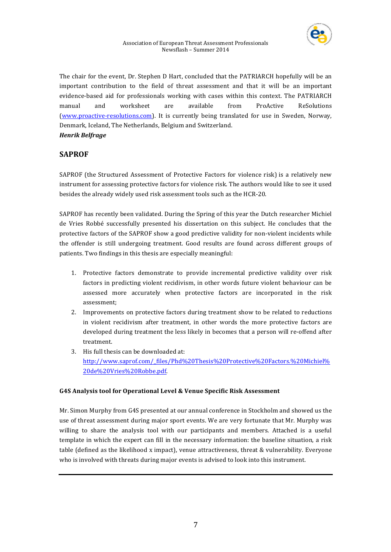

The chair for the event, Dr. Stephen D Hart, concluded that the PATRIARCH hopefully will be an important contribution to the field of threat assessment and that it will be an important evidence-based aid for professionals working with cases within this context. The PATRIARCH manual and worksheet are available from ProActive ReSolutions (www.proactive-resolutions.com). It is currently being translated for use in Sweden, Norway, Denmark, Iceland, The Netherlands, Belgium and Switzerland.

# *Henrik 
 Belfrage*

# **SAPROF**

SAPROF (the Structured Assessment of Protective Factors for violence risk) is a relatively new instrument for assessing protective factors for violence risk. The authors would like to see it used besides the already widely used risk assessment tools such as the HCR-20.

SAPROF has recently been validated. During the Spring of this year the Dutch researcher Michiel de Vries Robbé successfully presented his dissertation on this subject. He concludes that the protective factors of the SAPROF show a good predictive validity for non-violent incidents while the offender is still undergoing treatment. Good results are found across different groups of patients. Two findings in this thesis are especially meaningful:

- 1. Protective factors demonstrate to provide incremental predictive validity over risk factors in predicting violent recidivism, in other words future violent behaviour can be assessed more accurately when protective factors are incorporated in the risk assessment;
- 2. Improvements on protective factors during treatment show to be related to reductions in violent recidivism after treatment, in other words the more protective factors are developed during treatment the less likely in becomes that a person will re-offend after treatment.
- 3. His full thesis can be downloaded at: http://www.saprof.com/\_files/Phd%20Thesis%20Protective%20Factors.%20Michiel% 20de%20Vries%20Robbe.pdf.

# G4S Analysis tool for Operational Level & Venue Specific Risk Assessment

Mr. Simon Murphy from G4S presented at our annual conference in Stockholm and showed us the use of threat assessment during major sport events. We are very fortunate that Mr. Murphy was willing to share the analysis tool with our participants and members. Attached is a useful template in which the expert can fill in the necessary information: the baseline situation, a risk table (defined as the likelihood x impact), venue attractiveness, threat & vulnerability. Everyone who is involved with threats during major events is advised to look into this instrument.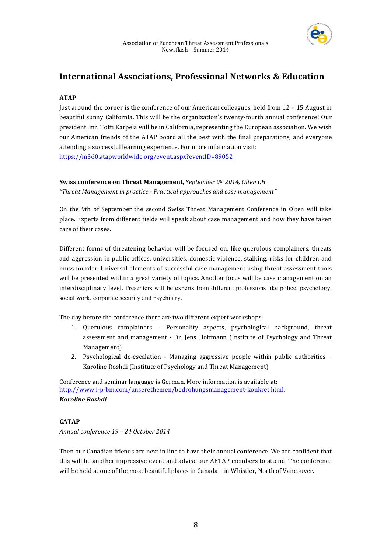

# **International Associations, Professional Networks & Education**

# **ATAP**

Just around the corner is the conference of our American colleagues, held from  $12 - 15$  August in beautiful sunny California. This will be the organization's twenty-fourth annual conference! Our president, mr. Totti Karpela will be in California, representing the European association. We wish our American friends of the ATAP board all the best with the final preparations, and everyone attending a successful learning experience. For more information visit: https://m360.atapworldwide.org/event.aspx?eventID=89052

# **Swiss conference on Threat Management,** September 9<sup>th</sup> 2014, Olten CH

"Threat Management in practice - Practical approaches and case management"

On the 9th of September the second Swiss Threat Management Conference in Olten will take place. Experts from different fields will speak about case management and how they have taken care of their cases.

Different forms of threatening behavior will be focused on, like querulous complainers, threats and aggression in public offices, universities, domestic violence, stalking, risks for children and muss murder. Universal elements of successful case management using threat assessment tools will be presented within a great variety of topics. Another focus will be case management on an interdisciplinary level. Presenters will be experts from different professions like police, psychology, social work, corporate security and psychiatry.

The day before the conference there are two different expert workshops:

- 1. Querulous complainers Personality aspects, psychological background, threat assessment and management - Dr. Jens Hoffmann (Institute of Psychology and Threat Management)
- 2. Psychological de-escalation Managing aggressive people within public authorities  $-$ Karoline Roshdi (Institute of Psychology and Threat Management)

Conference and seminar language is German. More information is available at: http://www.i-p-bm.com/unserethemen/bedrohungsmanagement-konkret.html. *Karoline 
 Roshdi*

# **CATAP**

*Annual 
 conference 
 19 
 – 
 24 October 
 2014*

Then our Canadian friends are next in line to have their annual conference. We are confident that this will be another impressive event and advise our AETAP members to attend. The conference will be held at one of the most beautiful places in Canada – in Whistler, North of Vancouver.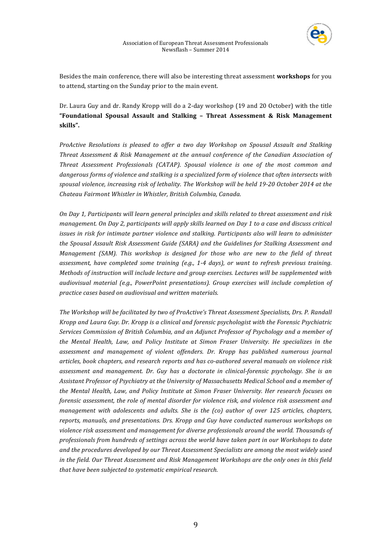

Besides the main conference, there will also be interesting threat assessment workshops for you to attend, starting on the Sunday prior to the main event.

Dr. Laura Guy and dr. Randy Kropp will do a 2-day workshop (19 and 20 October) with the title "Foundational Spousal Assault and Stalking - Threat Assessment & Risk Management **skills".**

*ProActive Resolutions is pleased to offer a two day Workshop on Spousal Assault and Stalking* Threat Assessment & Risk Management at the annual conference of the Canadian Association of Threat Assessment Professionals (CATAP). Spousal violence is one of the most common and dangerous forms of violence and stalking is a specialized form of violence that often intersects with spousal violence, increasing risk of lethality. The Workshop will be held 19-20 October 2014 at the Chateau Fairmont Whistler in Whistler, British Columbia, Canada.

On Day 1, Participants will learn general principles and skills related to threat assessment and risk management. On Day 2, participants will apply skills learned on Day 1 to a case and discuss critical issues in risk for intimate partner violence and stalking. Participants also will learn to administer the Spousal Assault Risk Assessment Guide (SARA) and the Guidelines for Stalking Assessment and Management (SAM). This workshop is designed for those who are new to the field of threat assessment, have completed some training (e.g., 1-4 days), or want to refresh previous training. Methods of instruction will include lecture and group exercises. Lectures will be supplemented with audiovisual material (e.g., PowerPoint presentations). Group exercises will include completion of practice cases based on audiovisual and written materials.

The Workshop will be facilitated by two of ProActive's Threat Assessment Specialists, Drs. P. Randall Kropp and Laura Guy. Dr. Kropp is a clinical and forensic psychologist with the Forensic Psychiatric Services Commission of British Columbia, and an Adjunct Professor of Psychology and a member of the Mental Health, Law, and Policy Institute at Simon Fraser University. He specializes in the assessment and management of violent offenders. Dr. Kropp has published numerous journal articles, book chapters, and research reports and has co-authored several manuals on violence risk assessment and management. Dr. Guy has a doctorate in clinical-forensic psychology. She is an Assistant Professor of Psychiatry at the University of Massachusetts Medical School and a member of the Mental Health, Law, and Policy Institute at Simon Fraser University. Her research focuses on *forensic assessment, the role of mental disorder for violence risk, and violence risk assessment and* management with adolescents and adults. She is the (co) author of over 125 articles, chapters, reports, manuals, and presentations. Drs. Kropp and Guy have conducted numerous workshops on violence risk assessment and management for diverse professionals around the world. Thousands of professionals from hundreds of settings across the world have taken part in our Workshops to date and the procedures developed by our Threat Assessment Specialists are among the most widely used in the field. Our Threat Assessment and Risk Management Workshops are the only ones in this field that have been subjected to systematic empirical research.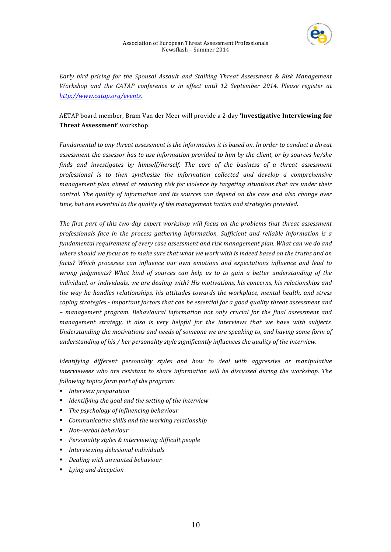

Early bird pricing for the Spousal Assault and Stalking Threat Assessment & Risk Management Workshop and the CATAP conference is in effect until 12 September 2014. Please register at http://www.catap.org/events.

# AETAP board member, Bram Van der Meer will provide a 2-day 'Investigative Interviewing for **Threat Assessment'** workshop.

Fundamental to any threat assessment is the information it is based on. In order to conduct a threat assessment the assessor has to use information provided to him by the client, or by sources he/she finds and investigates by himself/herself. The core of the business of a threat assessment professional is to then synthesize the information collected and develop a comprehensive management plan aimed at reducing risk for violence by targeting situations that are under their control. The quality of information and its sources can depend on the case and also change over time, but are essential to the quality of the management tactics and strategies provided.

The first part of this two-day expert workshop will focus on the problems that threat assessment professionals face in the process gathering information. Sufficient and reliable information is a fundamental requirement of every case assessment and risk management plan. What can we do and where should we focus on to make sure that what we work with is indeed based on the truths and on facts? Which processes can influence our own emotions and expectations influence and lead to wrong judgments? What kind of sources can help us to to gain a better understanding of the individual, or individuals, we are dealing with? His motivations, his concerns, his relationships and the way he handles relationships, his attitudes towards the workplace, mental health, and stress coping strategies - important factors that can be essential for a good quality threat assessment and - management program. Behavioural information not only crucial for the final assessment and management strategy, it also is very helpful for the interviews that we have with subjects. Understanding the motivations and needs of someone we are speaking to, and having some form of understanding of his / her personality style significantly influences the quality of the interview.

Identifying different personality styles and how to deal with aggressive or manipulative interviewees who are resistant to share information will be discussed during the workshop. The *following topics form part of the program:* 

- *Interview preparation*
- **I** Identifying the goal and the setting of the interview
- **•** The psychology of influencing behaviour
- **EXECUTE:** Communicative skills and the working relationship
- *Non-verbal behaviour*
- **Personality styles & interviewing difficult people**
- **Interviewing delusional individuals**
- **•** Dealing with unwanted behaviour
- **Example 1** Lying and deception